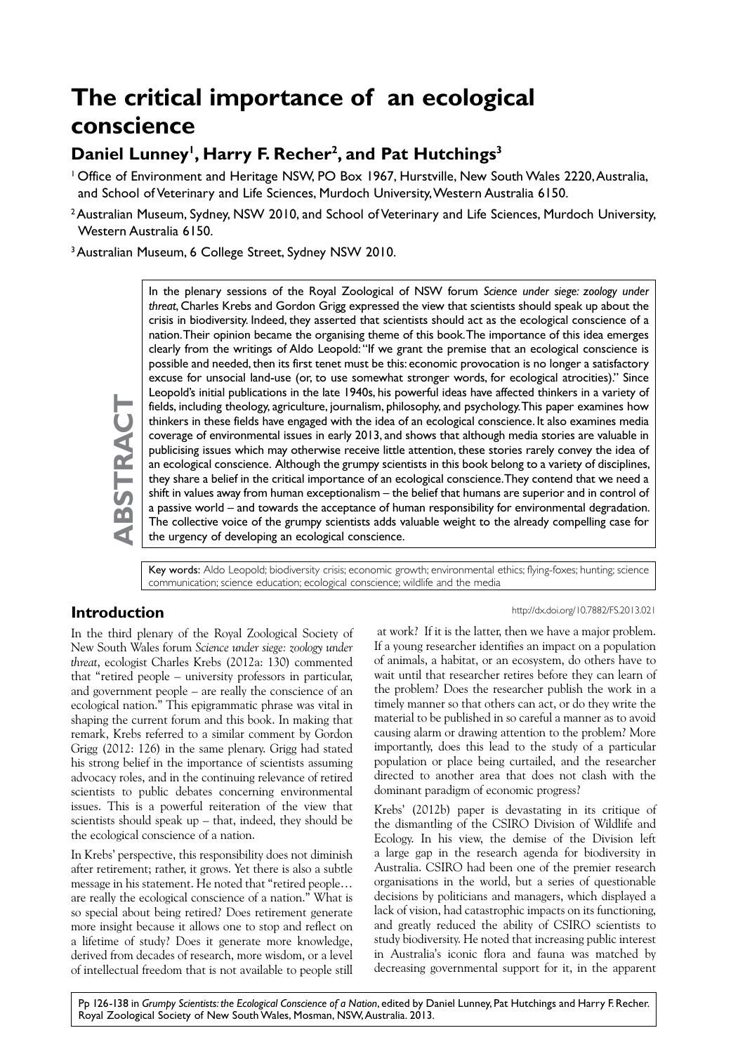# **The critical importance of an ecological conscience**

# Daniel Lunney<sup>1</sup>, Harry F. Recher<sup>2</sup>, and Pat Hutchings<sup>3</sup>

<sup>1</sup> Office of Environment and Heritage NSW, PO Box 1967, Hurstville, New South Wales 2220, Australia, and School of Veterinary and Life Sciences, Murdoch University, Western Australia 6150.

2 Australian Museum, Sydney, NSW 2010, and School of Veterinary and Life Sciences, Murdoch University, Western Australia 6150.

3 Australian Museum, 6 College Street, Sydney NSW 2010.

In the plenary sessions of the Royal Zoological of NSW forum *Science under siege: zoology under threat*, Charles Krebs and Gordon Grigg expressed the view that scientists should speak up about the crisis in biodiversity. Indeed, they asserted that scientists should act as the ecological conscience of a nation. Their opinion became the organising theme of this book. The importance of this idea emerges clearly from the writings of Aldo Leopold: "If we grant the premise that an ecological conscience is possible and needed, then its first tenet must be this: economic provocation is no longer a satisfactory excuse for unsocial land-use (or, to use somewhat stronger words, for ecological atrocities)." Since Leopold's initial publications in the late 1940s, his powerful ideas have affected thinkers in a variety of fields, including theology, agriculture, journalism, philosophy, and psychology. This paper examines how thinkers in these fields have engaged with the idea of an ecological conscience. It also examines media coverage of environmental issues in early 2013, and shows that although media stories are valuable in publicising issues which may otherwise receive little attention, these stories rarely convey the idea of an ecological conscience. Although the grumpy scientists in this book belong to a variety of disciplines, they share a belief in the critical importance of an ecological conscience. They contend that we need a shift in values away from human exceptionalism – the belief that humans are superior and in control of a passive world – and towards the acceptance of human responsibility for environmental degradation. The collective voice of the grumpy scientists adds valuable weight to the already compelling case for the urgency of developing an ecological conscience.

Key words: Aldo Leopold; biodiversity crisis; economic growth; environmental ethics; flying-foxes; hunting; science communication; science education; ecological conscience; wildlife and the media

# **Introduction**

**ABSTRACT**

BSTRACT

In the third plenary of the Royal Zoological Society of New South Wales forum *Science under siege: zoology under threat*, ecologist Charles Krebs (2012a: 130) commented that "retired people – university professors in particular, and government people – are really the conscience of an ecological nation." This epigrammatic phrase was vital in shaping the current forum and this book. In making that remark, Krebs referred to a similar comment by Gordon Grigg (2012: 126) in the same plenary. Grigg had stated his strong belief in the importance of scientists assuming advocacy roles, and in the continuing relevance of retired scientists to public debates concerning environmental issues. This is a powerful reiteration of the view that scientists should speak up – that, indeed, they should be the ecological conscience of a nation.

In Krebs' perspective, this responsibility does not diminish after retirement; rather, it grows. Yet there is also a subtle message in his statement. He noted that "retired people… are really the ecological conscience of a nation." What is so special about being retired? Does retirement generate more insight because it allows one to stop and reflect on a lifetime of study? Does it generate more knowledge, derived from decades of research, more wisdom, or a level of intellectual freedom that is not available to people still

http://dx.doi.org/10.7882/FS.2013.021

 at work? If it is the latter, then we have a major problem. If a young researcher identifies an impact on a population of animals, a habitat, or an ecosystem, do others have to wait until that researcher retires before they can learn of the problem? Does the researcher publish the work in a timely manner so that others can act, or do they write the material to be published in so careful a manner as to avoid causing alarm or drawing attention to the problem? More importantly, does this lead to the study of a particular population or place being curtailed, and the researcher directed to another area that does not clash with the dominant paradigm of economic progress?

Krebs' (2012b) paper is devastating in its critique of the dismantling of the CSIRO Division of Wildlife and Ecology. In his view, the demise of the Division left a large gap in the research agenda for biodiversity in Australia. CSIRO had been one of the premier research organisations in the world, but a series of questionable decisions by politicians and managers, which displayed a lack of vision, had catastrophic impacts on its functioning, and greatly reduced the ability of CSIRO scientists to study biodiversity. He noted that increasing public interest in Australia's iconic flora and fauna was matched by decreasing governmental support for it, in the apparent

Pp 126-138 in *Grumpy Scientists: the Ecological Conscience of a Nation*, edited by Daniel Lunney, Pat Hutchings and Harry F. Recher. Royal Zoological Society of New South Wales, Mosman, NSW, Australia. 2013.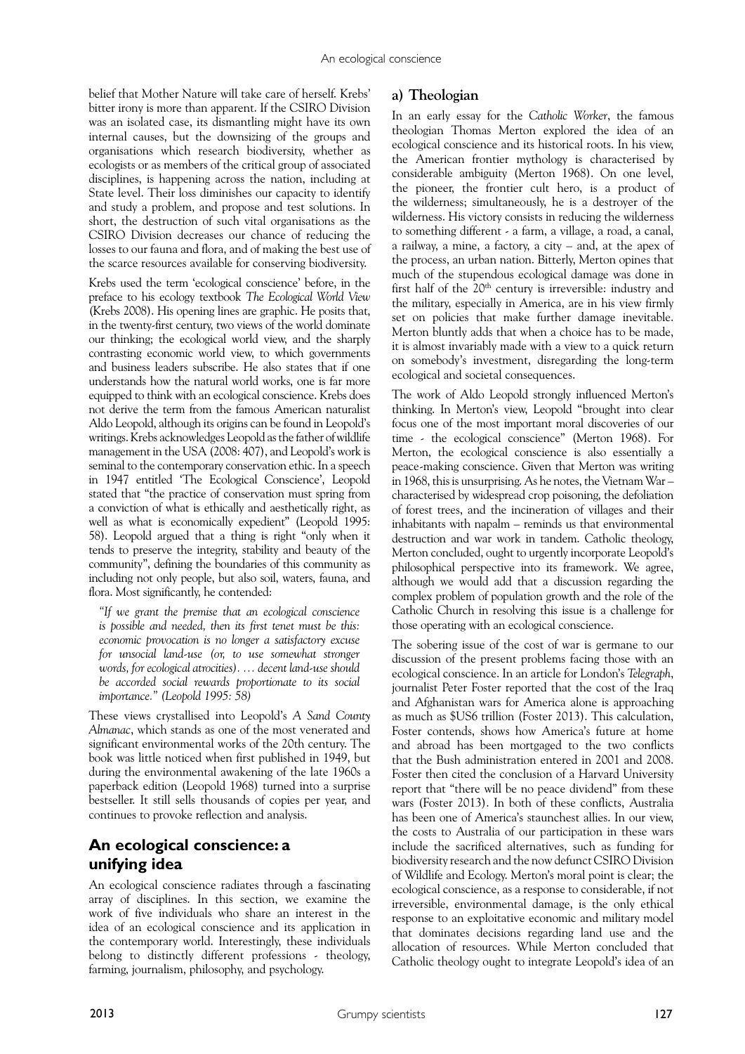belief that Mother Nature will take care of herself. Krebs' bitter irony is more than apparent. If the CSIRO Division was an isolated case, its dismantling might have its own internal causes, but the downsizing of the groups and organisations which research biodiversity, whether as ecologists or as members of the critical group of associated disciplines, is happening across the nation, including at State level. Their loss diminishes our capacity to identify and study a problem, and propose and test solutions. In short, the destruction of such vital organisations as the CSIRO Division decreases our chance of reducing the losses to our fauna and flora, and of making the best use of the scarce resources available for conserving biodiversity.

Krebs used the term 'ecological conscience' before, in the preface to his ecology textbook *The Ecological World View*  (Krebs 2008). His opening lines are graphic. He posits that, in the twenty-first century, two views of the world dominate our thinking; the ecological world view, and the sharply contrasting economic world view, to which governments and business leaders subscribe. He also states that if one understands how the natural world works, one is far more equipped to think with an ecological conscience. Krebs does not derive the term from the famous American naturalist Aldo Leopold, although its origins can be found in Leopold's writings. Krebs acknowledges Leopold as the father of wildlife management in the USA (2008: 407), and Leopold's work is seminal to the contemporary conservation ethic. In a speech in 1947 entitled 'The Ecological Conscience', Leopold stated that "the practice of conservation must spring from a conviction of what is ethically and aesthetically right, as well as what is economically expedient" (Leopold 1995: 58). Leopold argued that a thing is right "only when it tends to preserve the integrity, stability and beauty of the community", defining the boundaries of this community as including not only people, but also soil, waters, fauna, and flora. Most significantly, he contended:

*"If we grant the premise that an ecological conscience is possible and needed, then its first tenet must be this: economic provocation is no longer a satisfactory excuse for unsocial land-use (or, to use somewhat stronger words, for ecological atrocities). … decent land-use should be accorded social rewards proportionate to its social importance." (Leopold 1995: 58)*

These views crystallised into Leopold's *A Sand County Almanac*, which stands as one of the most venerated and significant environmental works of the 20th century. The book was little noticed when first published in 1949, but during the environmental awakening of the late 1960s a paperback edition (Leopold 1968) turned into a surprise bestseller. It still sells thousands of copies per year, and continues to provoke reflection and analysis.

# **An ecological conscience: a unifying idea**

An ecological conscience radiates through a fascinating array of disciplines. In this section, we examine the work of five individuals who share an interest in the idea of an ecological conscience and its application in the contemporary world. Interestingly, these individuals belong to distinctly different professions - theology, farming, journalism, philosophy, and psychology.

# **a) Theologian**

In an early essay for the *Catholic Worker*, the famous theologian Thomas Merton explored the idea of an ecological conscience and its historical roots. In his view, the American frontier mythology is characterised by considerable ambiguity (Merton 1968). On one level, the pioneer, the frontier cult hero, is a product of the wilderness; simultaneously, he is a destroyer of the wilderness. His victory consists in reducing the wilderness to something different - a farm, a village, a road, a canal, a railway, a mine, a factory, a city – and, at the apex of the process, an urban nation. Bitterly, Merton opines that much of the stupendous ecological damage was done in first half of the 20<sup>th</sup> century is irreversible: industry and the military, especially in America, are in his view firmly set on policies that make further damage inevitable. Merton bluntly adds that when a choice has to be made, it is almost invariably made with a view to a quick return on somebody's investment, disregarding the long-term ecological and societal consequences.

The work of Aldo Leopold strongly influenced Merton's thinking. In Merton's view, Leopold "brought into clear focus one of the most important moral discoveries of our time - the ecological conscience" (Merton 1968). For Merton, the ecological conscience is also essentially a peace-making conscience. Given that Merton was writing in 1968, this is unsurprising. As he notes, the Vietnam War – characterised by widespread crop poisoning, the defoliation of forest trees, and the incineration of villages and their inhabitants with napalm – reminds us that environmental destruction and war work in tandem. Catholic theology, Merton concluded, ought to urgently incorporate Leopold's philosophical perspective into its framework. We agree, although we would add that a discussion regarding the complex problem of population growth and the role of the Catholic Church in resolving this issue is a challenge for those operating with an ecological conscience.

The sobering issue of the cost of war is germane to our discussion of the present problems facing those with an ecological conscience. In an article for London's *Telegraph*, journalist Peter Foster reported that the cost of the Iraq and Afghanistan wars for America alone is approaching as much as \$US6 trillion (Foster 2013). This calculation, Foster contends, shows how America's future at home and abroad has been mortgaged to the two conflicts that the Bush administration entered in 2001 and 2008. Foster then cited the conclusion of a Harvard University report that "there will be no peace dividend" from these wars (Foster 2013). In both of these conflicts, Australia has been one of America's staunchest allies. In our view, the costs to Australia of our participation in these wars include the sacrificed alternatives, such as funding for biodiversity research and the now defunct CSIRO Division of Wildlife and Ecology. Merton's moral point is clear; the ecological conscience, as a response to considerable, if not irreversible, environmental damage, is the only ethical response to an exploitative economic and military model that dominates decisions regarding land use and the allocation of resources. While Merton concluded that Catholic theology ought to integrate Leopold's idea of an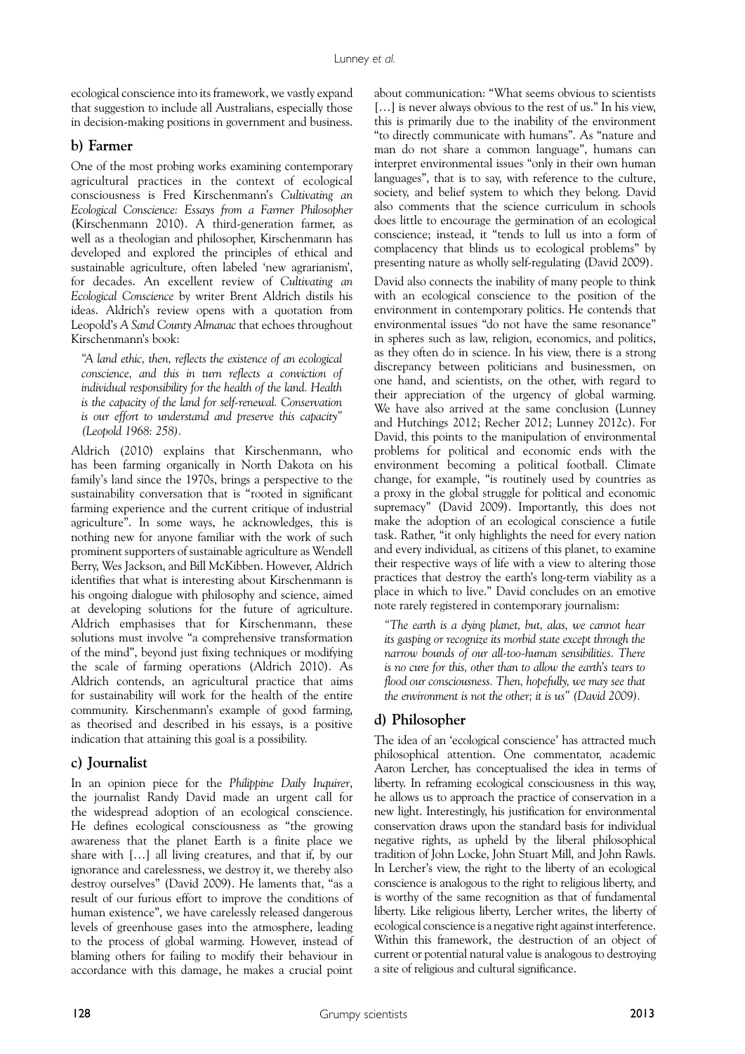ecological conscience into its framework, we vastly expand that suggestion to include all Australians, especially those in decision-making positions in government and business.

#### **b) Farmer**

One of the most probing works examining contemporary agricultural practices in the context of ecological consciousness is Fred Kirschenmann's *Cultivating an Ecological Conscience: Essays from a Farmer Philosopher* (Kirschenmann 2010). A third-generation farmer, as well as a theologian and philosopher, Kirschenmann has developed and explored the principles of ethical and sustainable agriculture, often labeled 'new agrarianism', for decades. An excellent review of *Cultivating an Ecological Conscience* by writer Brent Aldrich distils his ideas. Aldrich's review opens with a quotation from Leopold's *A Sand County Almanac* that echoes throughout Kirschenmann's book:

*"A land ethic, then, reflects the existence of an ecological conscience, and this in turn reflects a conviction of individual responsibility for the health of the land. Health is the capacity of the land for self-renewal. Conservation is our effort to understand and preserve this capacity" (Leopold 1968: 258).*

Aldrich (2010) explains that Kirschenmann, who has been farming organically in North Dakota on his family's land since the 1970s, brings a perspective to the sustainability conversation that is "rooted in significant farming experience and the current critique of industrial agriculture". In some ways, he acknowledges, this is nothing new for anyone familiar with the work of such prominent supporters of sustainable agriculture as Wendell Berry, Wes Jackson, and Bill McKibben. However, Aldrich identifies that what is interesting about Kirschenmann is his ongoing dialogue with philosophy and science, aimed at developing solutions for the future of agriculture. Aldrich emphasises that for Kirschenmann, these solutions must involve "a comprehensive transformation of the mind", beyond just fixing techniques or modifying the scale of farming operations (Aldrich 2010). As Aldrich contends, an agricultural practice that aims for sustainability will work for the health of the entire community. Kirschenmann's example of good farming, as theorised and described in his essays, is a positive indication that attaining this goal is a possibility.

#### **c) Journalist**

In an opinion piece for the *Philippine Daily Inquirer*, the journalist Randy David made an urgent call for the widespread adoption of an ecological conscience. He defines ecological consciousness as "the growing awareness that the planet Earth is a finite place we share with […] all living creatures, and that if, by our ignorance and carelessness, we destroy it, we thereby also destroy ourselves" (David 2009). He laments that, "as a result of our furious effort to improve the conditions of human existence", we have carelessly released dangerous levels of greenhouse gases into the atmosphere, leading to the process of global warming. However, instead of blaming others for failing to modify their behaviour in accordance with this damage, he makes a crucial point

about communication: "What seems obvious to scientists [...] is never always obvious to the rest of us." In his view, this is primarily due to the inability of the environment "to directly communicate with humans". As "nature and man do not share a common language", humans can interpret environmental issues "only in their own human languages", that is to say, with reference to the culture, society, and belief system to which they belong. David also comments that the science curriculum in schools does little to encourage the germination of an ecological conscience; instead, it "tends to lull us into a form of complacency that blinds us to ecological problems" by presenting nature as wholly self-regulating (David 2009).

David also connects the inability of many people to think with an ecological conscience to the position of the environment in contemporary politics. He contends that environmental issues "do not have the same resonance" in spheres such as law, religion, economics, and politics, as they often do in science. In his view, there is a strong discrepancy between politicians and businessmen, on one hand, and scientists, on the other, with regard to their appreciation of the urgency of global warming. We have also arrived at the same conclusion (Lunney and Hutchings 2012; Recher 2012; Lunney 2012c). For David, this points to the manipulation of environmental problems for political and economic ends with the environment becoming a political football. Climate change, for example, "is routinely used by countries as a proxy in the global struggle for political and economic supremacy" (David 2009). Importantly, this does not make the adoption of an ecological conscience a futile task. Rather, "it only highlights the need for every nation and every individual, as citizens of this planet, to examine their respective ways of life with a view to altering those practices that destroy the earth's long-term viability as a place in which to live." David concludes on an emotive note rarely registered in contemporary journalism:

*"The earth is a dying planet, but, alas, we cannot hear its gasping or recognize its morbid state except through the narrow bounds of our all-too-human sensibilities. There is no cure for this, other than to allow the earth's tears to flood our consciousness. Then, hopefully, we may see that the environment is not the other; it is us" (David 2009).*

#### **d) Philosopher**

The idea of an 'ecological conscience' has attracted much philosophical attention. One commentator, academic Aaron Lercher, has conceptualised the idea in terms of liberty. In reframing ecological consciousness in this way, he allows us to approach the practice of conservation in a new light. Interestingly, his justification for environmental conservation draws upon the standard basis for individual negative rights, as upheld by the liberal philosophical tradition of John Locke, John Stuart Mill, and John Rawls. In Lercher's view, the right to the liberty of an ecological conscience is analogous to the right to religious liberty, and is worthy of the same recognition as that of fundamental liberty. Like religious liberty, Lercher writes, the liberty of ecological conscience is a negative right against interference. Within this framework, the destruction of an object of current or potential natural value is analogous to destroying a site of religious and cultural significance.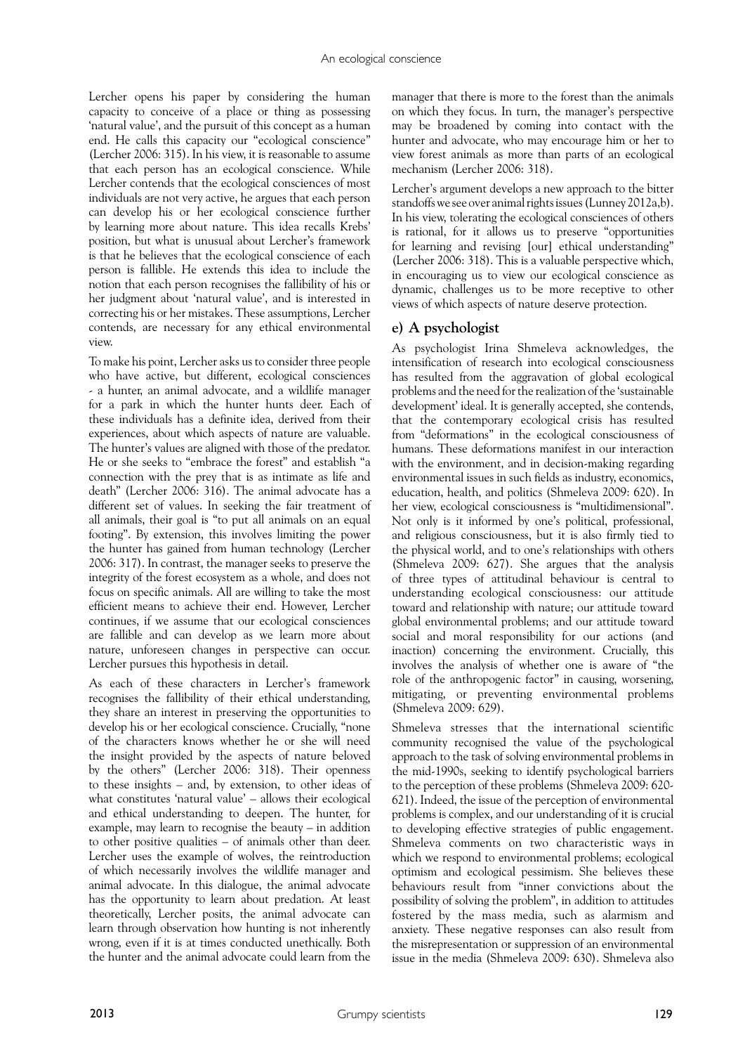Lercher opens his paper by considering the human capacity to conceive of a place or thing as possessing 'natural value', and the pursuit of this concept as a human end. He calls this capacity our "ecological conscience" (Lercher 2006: 315). In his view, it is reasonable to assume that each person has an ecological conscience. While Lercher contends that the ecological consciences of most individuals are not very active, he argues that each person can develop his or her ecological conscience further by learning more about nature. This idea recalls Krebs' position, but what is unusual about Lercher's framework is that he believes that the ecological conscience of each person is fallible. He extends this idea to include the notion that each person recognises the fallibility of his or her judgment about 'natural value', and is interested in correcting his or her mistakes. These assumptions, Lercher contends, are necessary for any ethical environmental view.

To make his point, Lercher asks us to consider three people who have active, but different, ecological consciences - a hunter, an animal advocate, and a wildlife manager for a park in which the hunter hunts deer. Each of these individuals has a definite idea, derived from their experiences, about which aspects of nature are valuable. The hunter's values are aligned with those of the predator. He or she seeks to "embrace the forest" and establish "a connection with the prey that is as intimate as life and death" (Lercher 2006: 316). The animal advocate has a different set of values. In seeking the fair treatment of all animals, their goal is "to put all animals on an equal footing". By extension, this involves limiting the power the hunter has gained from human technology (Lercher 2006: 317). In contrast, the manager seeks to preserve the integrity of the forest ecosystem as a whole, and does not focus on specific animals. All are willing to take the most efficient means to achieve their end. However, Lercher continues, if we assume that our ecological consciences are fallible and can develop as we learn more about nature, unforeseen changes in perspective can occur. Lercher pursues this hypothesis in detail.

As each of these characters in Lercher's framework recognises the fallibility of their ethical understanding, they share an interest in preserving the opportunities to develop his or her ecological conscience. Crucially, "none of the characters knows whether he or she will need the insight provided by the aspects of nature beloved by the others" (Lercher 2006: 318). Their openness to these insights – and, by extension, to other ideas of what constitutes 'natural value' – allows their ecological and ethical understanding to deepen. The hunter, for example, may learn to recognise the beauty – in addition to other positive qualities – of animals other than deer. Lercher uses the example of wolves, the reintroduction of which necessarily involves the wildlife manager and animal advocate. In this dialogue, the animal advocate has the opportunity to learn about predation. At least theoretically, Lercher posits, the animal advocate can learn through observation how hunting is not inherently wrong, even if it is at times conducted unethically. Both the hunter and the animal advocate could learn from the

manager that there is more to the forest than the animals on which they focus. In turn, the manager's perspective may be broadened by coming into contact with the hunter and advocate, who may encourage him or her to view forest animals as more than parts of an ecological mechanism (Lercher 2006: 318).

Lercher's argument develops a new approach to the bitter standoffs we see over animal rights issues (Lunney 2012a,b). In his view, tolerating the ecological consciences of others is rational, for it allows us to preserve "opportunities for learning and revising [our] ethical understanding" (Lercher 2006: 318). This is a valuable perspective which, in encouraging us to view our ecological conscience as dynamic, challenges us to be more receptive to other views of which aspects of nature deserve protection.

# **e) A psychologist**

As psychologist Irina Shmeleva acknowledges, the intensification of research into ecological consciousness has resulted from the aggravation of global ecological problems and the need for the realization of the 'sustainable development' ideal. It is generally accepted, she contends, that the contemporary ecological crisis has resulted from "deformations" in the ecological consciousness of humans. These deformations manifest in our interaction with the environment, and in decision-making regarding environmental issues in such fields as industry, economics, education, health, and politics (Shmeleva 2009: 620). In her view, ecological consciousness is "multidimensional". Not only is it informed by one's political, professional, and religious consciousness, but it is also firmly tied to the physical world, and to one's relationships with others (Shmeleva 2009: 627). She argues that the analysis of three types of attitudinal behaviour is central to understanding ecological consciousness: our attitude toward and relationship with nature; our attitude toward global environmental problems; and our attitude toward social and moral responsibility for our actions (and inaction) concerning the environment. Crucially, this involves the analysis of whether one is aware of "the role of the anthropogenic factor" in causing, worsening, mitigating, or preventing environmental problems (Shmeleva 2009: 629).

Shmeleva stresses that the international scientific community recognised the value of the psychological approach to the task of solving environmental problems in the mid-1990s, seeking to identify psychological barriers to the perception of these problems (Shmeleva 2009: 620- 621). Indeed, the issue of the perception of environmental problems is complex, and our understanding of it is crucial to developing effective strategies of public engagement. Shmeleva comments on two characteristic ways in which we respond to environmental problems; ecological optimism and ecological pessimism. She believes these behaviours result from "inner convictions about the possibility of solving the problem", in addition to attitudes fostered by the mass media, such as alarmism and anxiety. These negative responses can also result from the misrepresentation or suppression of an environmental issue in the media (Shmeleva 2009: 630). Shmeleva also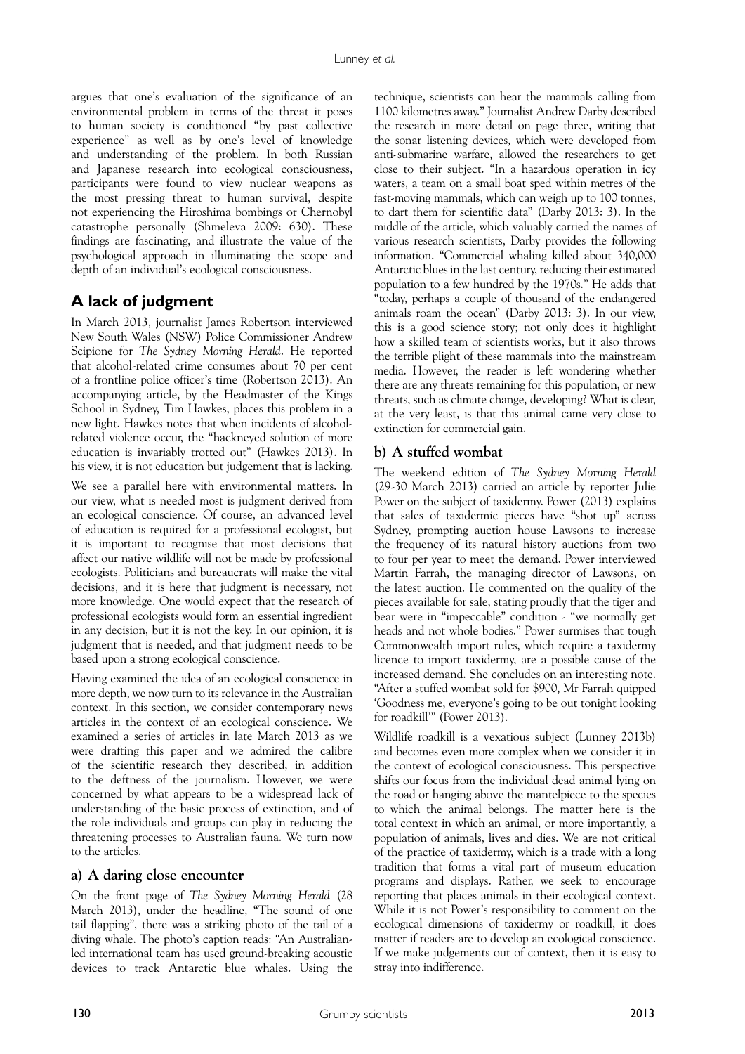argues that one's evaluation of the significance of an environmental problem in terms of the threat it poses to human society is conditioned "by past collective experience" as well as by one's level of knowledge and understanding of the problem. In both Russian and Japanese research into ecological consciousness, participants were found to view nuclear weapons as the most pressing threat to human survival, despite not experiencing the Hiroshima bombings or Chernobyl catastrophe personally (Shmeleva 2009: 630). These findings are fascinating, and illustrate the value of the psychological approach in illuminating the scope and depth of an individual's ecological consciousness.

# **A lack of judgment**

In March 2013, journalist James Robertson interviewed New South Wales (NSW) Police Commissioner Andrew Scipione for *The Sydney Morning Herald*. He reported that alcohol-related crime consumes about 70 per cent of a frontline police officer's time (Robertson 2013). An accompanying article, by the Headmaster of the Kings School in Sydney, Tim Hawkes, places this problem in a new light. Hawkes notes that when incidents of alcoholrelated violence occur, the "hackneyed solution of more education is invariably trotted out" (Hawkes 2013). In his view, it is not education but judgement that is lacking.

We see a parallel here with environmental matters. In our view, what is needed most is judgment derived from an ecological conscience. Of course, an advanced level of education is required for a professional ecologist, but it is important to recognise that most decisions that affect our native wildlife will not be made by professional ecologists. Politicians and bureaucrats will make the vital decisions, and it is here that judgment is necessary, not more knowledge. One would expect that the research of professional ecologists would form an essential ingredient in any decision, but it is not the key. In our opinion, it is judgment that is needed, and that judgment needs to be based upon a strong ecological conscience.

Having examined the idea of an ecological conscience in more depth, we now turn to its relevance in the Australian context. In this section, we consider contemporary news articles in the context of an ecological conscience. We examined a series of articles in late March 2013 as we were drafting this paper and we admired the calibre of the scientific research they described, in addition to the deftness of the journalism. However, we were concerned by what appears to be a widespread lack of understanding of the basic process of extinction, and of the role individuals and groups can play in reducing the threatening processes to Australian fauna. We turn now to the articles.

#### **a) A daring close encounter**

On the front page of *The Sydney Morning Herald* (28 March 2013), under the headline, "The sound of one tail flapping", there was a striking photo of the tail of a diving whale. The photo's caption reads: "An Australianled international team has used ground-breaking acoustic devices to track Antarctic blue whales. Using the

technique, scientists can hear the mammals calling from 1100 kilometres away." Journalist Andrew Darby described the research in more detail on page three, writing that the sonar listening devices, which were developed from anti-submarine warfare, allowed the researchers to get close to their subject. "In a hazardous operation in icy waters, a team on a small boat sped within metres of the fast-moving mammals, which can weigh up to 100 tonnes, to dart them for scientific data" (Darby 2013: 3). In the middle of the article, which valuably carried the names of various research scientists, Darby provides the following information. "Commercial whaling killed about 340,000 Antarctic blues in the last century, reducing their estimated population to a few hundred by the 1970s." He adds that "today, perhaps a couple of thousand of the endangered animals roam the ocean" (Darby 2013: 3). In our view, this is a good science story; not only does it highlight how a skilled team of scientists works, but it also throws the terrible plight of these mammals into the mainstream media. However, the reader is left wondering whether there are any threats remaining for this population, or new threats, such as climate change, developing? What is clear, at the very least, is that this animal came very close to extinction for commercial gain.

# **b) A stuffed wombat**

The weekend edition of *The Sydney Morning Herald* (29-30 March 2013) carried an article by reporter Julie Power on the subject of taxidermy. Power (2013) explains that sales of taxidermic pieces have "shot up" across Sydney, prompting auction house Lawsons to increase the frequency of its natural history auctions from two to four per year to meet the demand. Power interviewed Martin Farrah, the managing director of Lawsons, on the latest auction. He commented on the quality of the pieces available for sale, stating proudly that the tiger and bear were in "impeccable" condition - "we normally get heads and not whole bodies." Power surmises that tough Commonwealth import rules, which require a taxidermy licence to import taxidermy, are a possible cause of the increased demand. She concludes on an interesting note. "After a stuffed wombat sold for \$900, Mr Farrah quipped 'Goodness me, everyone's going to be out tonight looking for roadkill'" (Power 2013).

Wildlife roadkill is a vexatious subject (Lunney 2013b) and becomes even more complex when we consider it in the context of ecological consciousness. This perspective shifts our focus from the individual dead animal lying on the road or hanging above the mantelpiece to the species to which the animal belongs. The matter here is the total context in which an animal, or more importantly, a population of animals, lives and dies. We are not critical of the practice of taxidermy, which is a trade with a long tradition that forms a vital part of museum education programs and displays. Rather, we seek to encourage reporting that places animals in their ecological context. While it is not Power's responsibility to comment on the ecological dimensions of taxidermy or roadkill, it does matter if readers are to develop an ecological conscience. If we make judgements out of context, then it is easy to stray into indifference.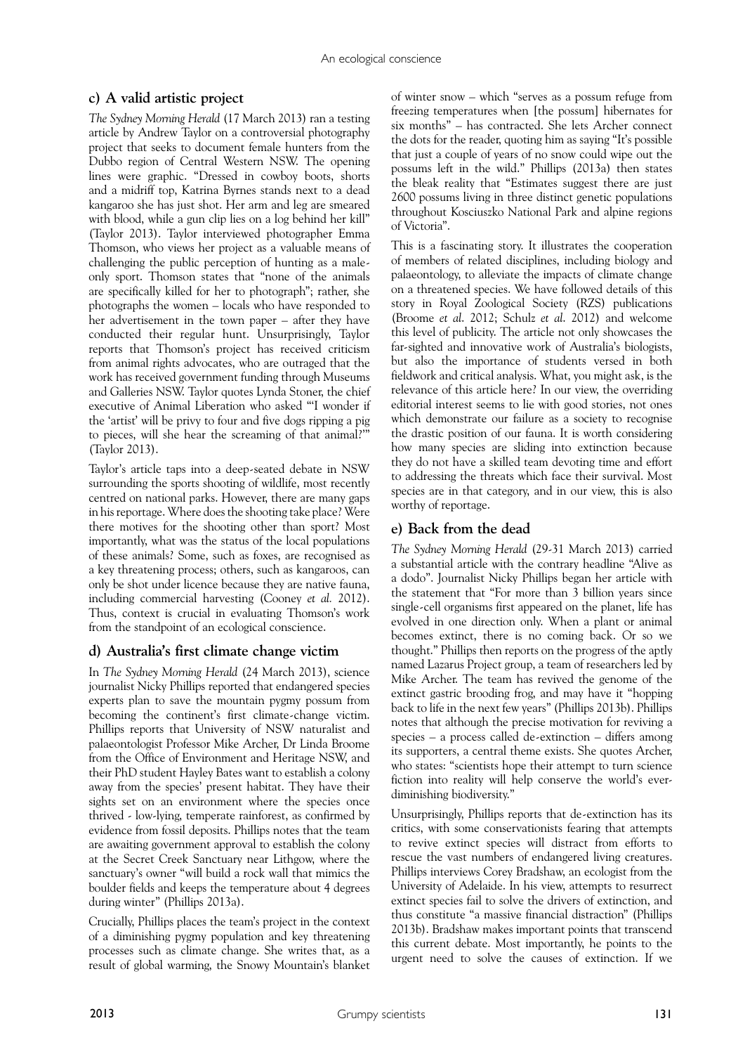# **c) A valid artistic project**

*The Sydney Morning Herald* (17 March 2013) ran a testing article by Andrew Taylor on a controversial photography project that seeks to document female hunters from the Dubbo region of Central Western NSW. The opening lines were graphic. "Dressed in cowboy boots, shorts and a midriff top, Katrina Byrnes stands next to a dead kangaroo she has just shot. Her arm and leg are smeared with blood, while a gun clip lies on a log behind her kill" (Taylor 2013). Taylor interviewed photographer Emma Thomson, who views her project as a valuable means of challenging the public perception of hunting as a maleonly sport. Thomson states that "none of the animals are specifically killed for her to photograph"; rather, she photographs the women – locals who have responded to her advertisement in the town paper – after they have conducted their regular hunt. Unsurprisingly, Taylor reports that Thomson's project has received criticism from animal rights advocates, who are outraged that the work has received government funding through Museums and Galleries NSW. Taylor quotes Lynda Stoner, the chief executive of Animal Liberation who asked "'I wonder if the 'artist' will be privy to four and five dogs ripping a pig to pieces, will she hear the screaming of that animal?' (Taylor 2013).

Taylor's article taps into a deep-seated debate in NSW surrounding the sports shooting of wildlife, most recently centred on national parks. However, there are many gaps in his reportage. Where does the shooting take place? Were there motives for the shooting other than sport? Most importantly, what was the status of the local populations of these animals? Some, such as foxes, are recognised as a key threatening process; others, such as kangaroos, can only be shot under licence because they are native fauna, including commercial harvesting (Cooney *et al.* 2012). Thus, context is crucial in evaluating Thomson's work from the standpoint of an ecological conscience.

# **d) Australia's first climate change victim**

In *The Sydney Morning Herald* (24 March 2013), science journalist Nicky Phillips reported that endangered species experts plan to save the mountain pygmy possum from becoming the continent's first climate-change victim. Phillips reports that University of NSW naturalist and palaeontologist Professor Mike Archer, Dr Linda Broome from the Office of Environment and Heritage NSW, and their PhD student Hayley Bates want to establish a colony away from the species' present habitat. They have their sights set on an environment where the species once thrived - low-lying, temperate rainforest, as confirmed by evidence from fossil deposits. Phillips notes that the team are awaiting government approval to establish the colony at the Secret Creek Sanctuary near Lithgow, where the sanctuary's owner "will build a rock wall that mimics the boulder fields and keeps the temperature about 4 degrees during winter" (Phillips 2013a).

Crucially, Phillips places the team's project in the context of a diminishing pygmy population and key threatening processes such as climate change. She writes that, as a result of global warming, the Snowy Mountain's blanket

of winter snow – which "serves as a possum refuge from freezing temperatures when [the possum] hibernates for six months" – has contracted. She lets Archer connect the dots for the reader, quoting him as saying "It's possible that just a couple of years of no snow could wipe out the possums left in the wild." Phillips (2013a) then states the bleak reality that "Estimates suggest there are just 2600 possums living in three distinct genetic populations throughout Kosciuszko National Park and alpine regions of Victoria".

This is a fascinating story. It illustrates the cooperation of members of related disciplines, including biology and palaeontology, to alleviate the impacts of climate change on a threatened species. We have followed details of this story in Royal Zoological Society (RZS) publications (Broome *et al*. 2012; Schulz *et al*. 2012) and welcome this level of publicity. The article not only showcases the far-sighted and innovative work of Australia's biologists, but also the importance of students versed in both fieldwork and critical analysis. What, you might ask, is the relevance of this article here? In our view, the overriding editorial interest seems to lie with good stories, not ones which demonstrate our failure as a society to recognise the drastic position of our fauna. It is worth considering how many species are sliding into extinction because they do not have a skilled team devoting time and effort to addressing the threats which face their survival. Most species are in that category, and in our view, this is also worthy of reportage.

# **e) Back from the dead**

*The Sydney Morning Herald* (29-31 March 2013) carried a substantial article with the contrary headline "Alive as a dodo". Journalist Nicky Phillips began her article with the statement that "For more than 3 billion years since single-cell organisms first appeared on the planet, life has evolved in one direction only. When a plant or animal becomes extinct, there is no coming back. Or so we thought." Phillips then reports on the progress of the aptly named Lazarus Project group, a team of researchers led by Mike Archer. The team has revived the genome of the extinct gastric brooding frog, and may have it "hopping back to life in the next few years" (Phillips 2013b). Phillips notes that although the precise motivation for reviving a species – a process called de-extinction – differs among its supporters, a central theme exists. She quotes Archer, who states: "scientists hope their attempt to turn science fiction into reality will help conserve the world's everdiminishing biodiversity."

Unsurprisingly, Phillips reports that de-extinction has its critics, with some conservationists fearing that attempts to revive extinct species will distract from efforts to rescue the vast numbers of endangered living creatures. Phillips interviews Corey Bradshaw, an ecologist from the University of Adelaide. In his view, attempts to resurrect extinct species fail to solve the drivers of extinction, and thus constitute "a massive financial distraction" (Phillips 2013b). Bradshaw makes important points that transcend this current debate. Most importantly, he points to the urgent need to solve the causes of extinction. If we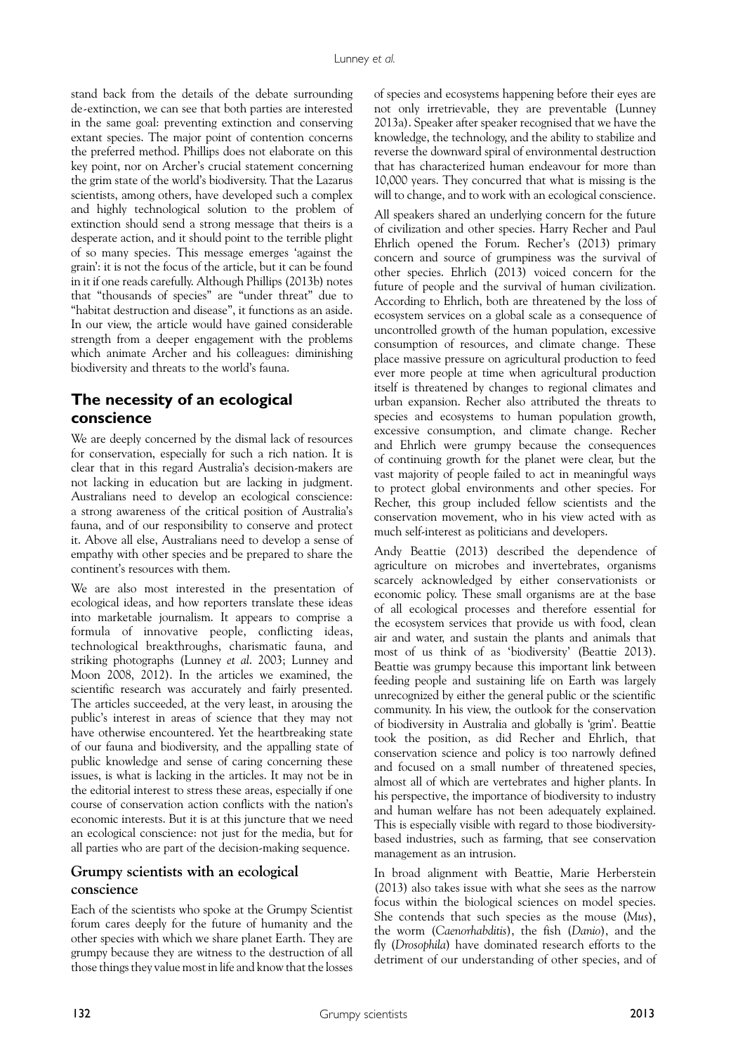stand back from the details of the debate surrounding de-extinction, we can see that both parties are interested in the same goal: preventing extinction and conserving extant species. The major point of contention concerns the preferred method. Phillips does not elaborate on this key point, nor on Archer's crucial statement concerning the grim state of the world's biodiversity. That the Lazarus scientists, among others, have developed such a complex and highly technological solution to the problem of extinction should send a strong message that theirs is a desperate action, and it should point to the terrible plight of so many species. This message emerges 'against the grain': it is not the focus of the article, but it can be found in it if one reads carefully. Although Phillips (2013b) notes that "thousands of species" are "under threat" due to "habitat destruction and disease", it functions as an aside. In our view, the article would have gained considerable strength from a deeper engagement with the problems which animate Archer and his colleagues: diminishing biodiversity and threats to the world's fauna.

# **The necessity of an ecological conscience**

We are deeply concerned by the dismal lack of resources for conservation, especially for such a rich nation. It is clear that in this regard Australia's decision-makers are not lacking in education but are lacking in judgment. Australians need to develop an ecological conscience: a strong awareness of the critical position of Australia's fauna, and of our responsibility to conserve and protect it. Above all else, Australians need to develop a sense of empathy with other species and be prepared to share the continent's resources with them.

We are also most interested in the presentation of ecological ideas, and how reporters translate these ideas into marketable journalism. It appears to comprise a formula of innovative people, conflicting ideas, technological breakthroughs, charismatic fauna, and striking photographs (Lunney *et al*. 2003; Lunney and Moon 2008, 2012). In the articles we examined, the scientific research was accurately and fairly presented. The articles succeeded, at the very least, in arousing the public's interest in areas of science that they may not have otherwise encountered. Yet the heartbreaking state of our fauna and biodiversity, and the appalling state of public knowledge and sense of caring concerning these issues, is what is lacking in the articles. It may not be in the editorial interest to stress these areas, especially if one course of conservation action conflicts with the nation's economic interests. But it is at this juncture that we need an ecological conscience: not just for the media, but for all parties who are part of the decision-making sequence.

# **Grumpy scientists with an ecological conscience**

Each of the scientists who spoke at the Grumpy Scientist forum cares deeply for the future of humanity and the other species with which we share planet Earth. They are grumpy because they are witness to the destruction of all those things they value most in life and know that the losses

of species and ecosystems happening before their eyes are not only irretrievable, they are preventable (Lunney 2013a). Speaker after speaker recognised that we have the knowledge, the technology, and the ability to stabilize and reverse the downward spiral of environmental destruction that has characterized human endeavour for more than 10,000 years. They concurred that what is missing is the will to change, and to work with an ecological conscience.

All speakers shared an underlying concern for the future of civilization and other species. Harry Recher and Paul Ehrlich opened the Forum. Recher's (2013) primary concern and source of grumpiness was the survival of other species. Ehrlich (2013) voiced concern for the future of people and the survival of human civilization. According to Ehrlich, both are threatened by the loss of ecosystem services on a global scale as a consequence of uncontrolled growth of the human population, excessive consumption of resources, and climate change. These place massive pressure on agricultural production to feed ever more people at time when agricultural production itself is threatened by changes to regional climates and urban expansion. Recher also attributed the threats to species and ecosystems to human population growth, excessive consumption, and climate change. Recher and Ehrlich were grumpy because the consequences of continuing growth for the planet were clear, but the vast majority of people failed to act in meaningful ways to protect global environments and other species. For Recher, this group included fellow scientists and the conservation movement, who in his view acted with as much self-interest as politicians and developers.

Andy Beattie (2013) described the dependence of agriculture on microbes and invertebrates, organisms scarcely acknowledged by either conservationists or economic policy. These small organisms are at the base of all ecological processes and therefore essential for the ecosystem services that provide us with food, clean air and water, and sustain the plants and animals that most of us think of as 'biodiversity' (Beattie 2013). Beattie was grumpy because this important link between feeding people and sustaining life on Earth was largely unrecognized by either the general public or the scientific community. In his view, the outlook for the conservation of biodiversity in Australia and globally is 'grim'. Beattie took the position, as did Recher and Ehrlich, that conservation science and policy is too narrowly defined and focused on a small number of threatened species, almost all of which are vertebrates and higher plants. In his perspective, the importance of biodiversity to industry and human welfare has not been adequately explained. This is especially visible with regard to those biodiversitybased industries, such as farming, that see conservation management as an intrusion.

In broad alignment with Beattie, Marie Herberstein (2013) also takes issue with what she sees as the narrow focus within the biological sciences on model species. She contends that such species as the mouse (*Mus*), the worm (*Caenorhabditis*), the fish (*Danio*), and the fly (*Drosophila*) have dominated research efforts to the detriment of our understanding of other species, and of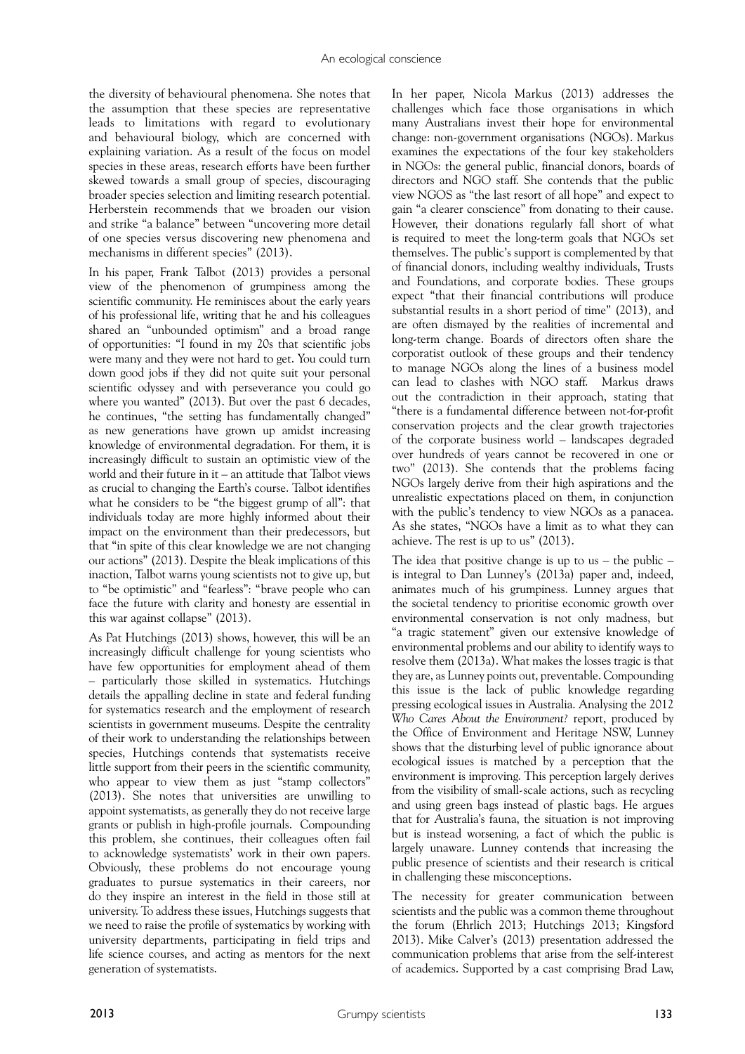the diversity of behavioural phenomena. She notes that the assumption that these species are representative leads to limitations with regard to evolutionary and behavioural biology, which are concerned with explaining variation. As a result of the focus on model species in these areas, research efforts have been further skewed towards a small group of species, discouraging broader species selection and limiting research potential. Herberstein recommends that we broaden our vision and strike "a balance" between "uncovering more detail of one species versus discovering new phenomena and mechanisms in different species" (2013).

In his paper, Frank Talbot (2013) provides a personal view of the phenomenon of grumpiness among the scientific community. He reminisces about the early years of his professional life, writing that he and his colleagues shared an "unbounded optimism" and a broad range of opportunities: "I found in my 20s that scientific jobs were many and they were not hard to get. You could turn down good jobs if they did not quite suit your personal scientific odyssey and with perseverance you could go where you wanted" (2013). But over the past 6 decades, he continues, "the setting has fundamentally changed" as new generations have grown up amidst increasing knowledge of environmental degradation. For them, it is increasingly difficult to sustain an optimistic view of the world and their future in it – an attitude that Talbot views as crucial to changing the Earth's course. Talbot identifies what he considers to be "the biggest grump of all": that individuals today are more highly informed about their impact on the environment than their predecessors, but that "in spite of this clear knowledge we are not changing our actions" (2013). Despite the bleak implications of this inaction, Talbot warns young scientists not to give up, but to "be optimistic" and "fearless": "brave people who can face the future with clarity and honesty are essential in this war against collapse" (2013).

As Pat Hutchings (2013) shows, however, this will be an increasingly difficult challenge for young scientists who have few opportunities for employment ahead of them – particularly those skilled in systematics. Hutchings details the appalling decline in state and federal funding for systematics research and the employment of research scientists in government museums. Despite the centrality of their work to understanding the relationships between species, Hutchings contends that systematists receive little support from their peers in the scientific community, who appear to view them as just "stamp collectors" (2013). She notes that universities are unwilling to appoint systematists, as generally they do not receive large grants or publish in high-profile journals. Compounding this problem, she continues, their colleagues often fail to acknowledge systematists' work in their own papers. Obviously, these problems do not encourage young graduates to pursue systematics in their careers, nor do they inspire an interest in the field in those still at university. To address these issues, Hutchings suggests that we need to raise the profile of systematics by working with university departments, participating in field trips and life science courses, and acting as mentors for the next generation of systematists.

In her paper, Nicola Markus (2013) addresses the challenges which face those organisations in which many Australians invest their hope for environmental change: non-government organisations (NGOs). Markus examines the expectations of the four key stakeholders in NGOs: the general public, financial donors, boards of directors and NGO staff. She contends that the public view NGOS as "the last resort of all hope" and expect to gain "a clearer conscience" from donating to their cause. However, their donations regularly fall short of what is required to meet the long-term goals that NGOs set themselves. The public's support is complemented by that of financial donors, including wealthy individuals, Trusts and Foundations, and corporate bodies. These groups expect "that their financial contributions will produce substantial results in a short period of time" (2013), and are often dismayed by the realities of incremental and long-term change. Boards of directors often share the corporatist outlook of these groups and their tendency to manage NGOs along the lines of a business model can lead to clashes with NGO staff. Markus draws out the contradiction in their approach, stating that "there is a fundamental difference between not-for-profit conservation projects and the clear growth trajectories of the corporate business world – landscapes degraded over hundreds of years cannot be recovered in one or two" (2013). She contends that the problems facing NGOs largely derive from their high aspirations and the unrealistic expectations placed on them, in conjunction with the public's tendency to view NGOs as a panacea. As she states, "NGOs have a limit as to what they can achieve. The rest is up to us" (2013).

The idea that positive change is up to us  $-$  the public  $$ is integral to Dan Lunney's (2013a) paper and, indeed, animates much of his grumpiness. Lunney argues that the societal tendency to prioritise economic growth over environmental conservation is not only madness, but "a tragic statement" given our extensive knowledge of environmental problems and our ability to identify ways to resolve them (2013a). What makes the losses tragic is that they are, as Lunney points out, preventable. Compounding this issue is the lack of public knowledge regarding pressing ecological issues in Australia. Analysing the 2012 *Who Cares About the Environment?* report, produced by the Office of Environment and Heritage NSW, Lunney shows that the disturbing level of public ignorance about ecological issues is matched by a perception that the environment is improving. This perception largely derives from the visibility of small-scale actions, such as recycling and using green bags instead of plastic bags. He argues that for Australia's fauna, the situation is not improving but is instead worsening, a fact of which the public is largely unaware. Lunney contends that increasing the public presence of scientists and their research is critical in challenging these misconceptions.

The necessity for greater communication between scientists and the public was a common theme throughout the forum (Ehrlich 2013; Hutchings 2013; Kingsford 2013). Mike Calver's (2013) presentation addressed the communication problems that arise from the self-interest of academics. Supported by a cast comprising Brad Law,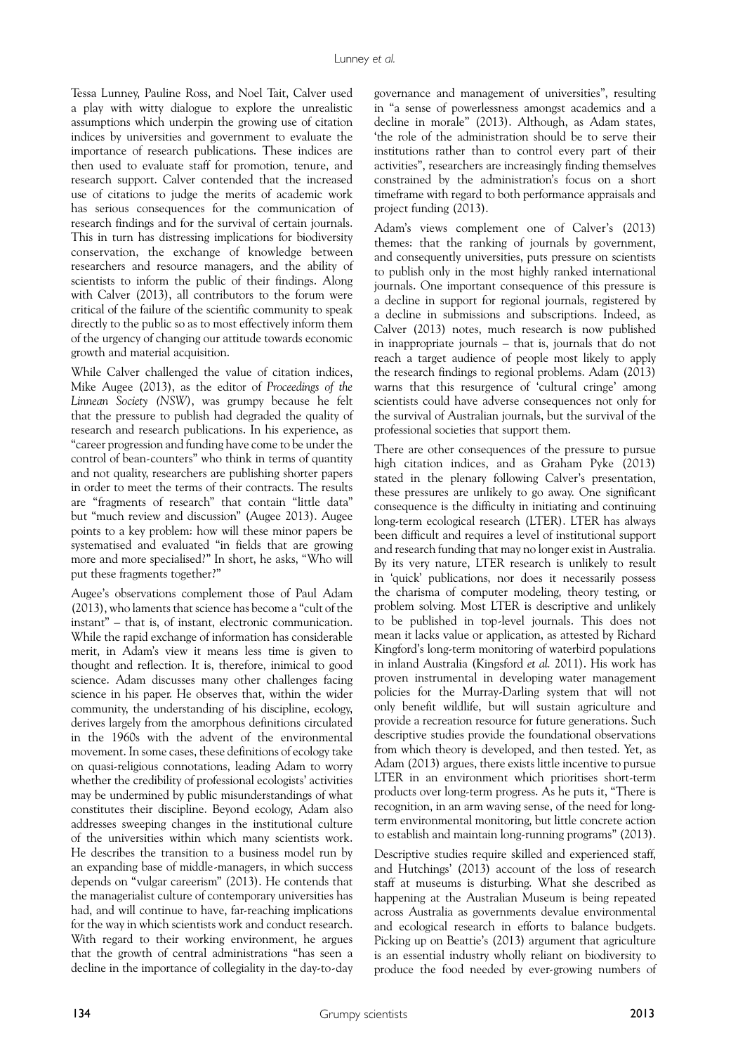Tessa Lunney, Pauline Ross, and Noel Tait, Calver used a play with witty dialogue to explore the unrealistic assumptions which underpin the growing use of citation indices by universities and government to evaluate the importance of research publications. These indices are then used to evaluate staff for promotion, tenure, and research support. Calver contended that the increased use of citations to judge the merits of academic work has serious consequences for the communication of research findings and for the survival of certain journals. This in turn has distressing implications for biodiversity conservation, the exchange of knowledge between researchers and resource managers, and the ability of scientists to inform the public of their findings. Along with Calver (2013), all contributors to the forum were critical of the failure of the scientific community to speak directly to the public so as to most effectively inform them of the urgency of changing our attitude towards economic growth and material acquisition.

While Calver challenged the value of citation indices, Mike Augee (2013), as the editor of *Proceedings of the Linnean Society (NSW)*, was grumpy because he felt that the pressure to publish had degraded the quality of research and research publications. In his experience, as "career progression and funding have come to be under the control of bean-counters" who think in terms of quantity and not quality, researchers are publishing shorter papers in order to meet the terms of their contracts. The results are "fragments of research" that contain "little data" but "much review and discussion" (Augee 2013). Augee points to a key problem: how will these minor papers be systematised and evaluated "in fields that are growing more and more specialised?" In short, he asks, "Who will put these fragments together?"

Augee's observations complement those of Paul Adam (2013), who laments that science has become a "cult of the instant" – that is, of instant, electronic communication. While the rapid exchange of information has considerable merit, in Adam's view it means less time is given to thought and reflection. It is, therefore, inimical to good science. Adam discusses many other challenges facing science in his paper. He observes that, within the wider community, the understanding of his discipline, ecology, derives largely from the amorphous definitions circulated in the 1960s with the advent of the environmental movement. In some cases, these definitions of ecology take on quasi-religious connotations, leading Adam to worry whether the credibility of professional ecologists' activities may be undermined by public misunderstandings of what constitutes their discipline. Beyond ecology, Adam also addresses sweeping changes in the institutional culture of the universities within which many scientists work. He describes the transition to a business model run by an expanding base of middle-managers, in which success depends on "vulgar careerism" (2013). He contends that the managerialist culture of contemporary universities has had, and will continue to have, far-reaching implications for the way in which scientists work and conduct research. With regard to their working environment, he argues that the growth of central administrations "has seen a decline in the importance of collegiality in the day-to-day

governance and management of universities", resulting in "a sense of powerlessness amongst academics and a decline in morale" (2013). Although, as Adam states, 'the role of the administration should be to serve their institutions rather than to control every part of their activities", researchers are increasingly finding themselves constrained by the administration's focus on a short timeframe with regard to both performance appraisals and project funding (2013).

Adam's views complement one of Calver's (2013) themes: that the ranking of journals by government, and consequently universities, puts pressure on scientists to publish only in the most highly ranked international journals. One important consequence of this pressure is a decline in support for regional journals, registered by a decline in submissions and subscriptions. Indeed, as Calver (2013) notes, much research is now published in inappropriate journals – that is, journals that do not reach a target audience of people most likely to apply the research findings to regional problems. Adam (2013) warns that this resurgence of 'cultural cringe' among scientists could have adverse consequences not only for the survival of Australian journals, but the survival of the professional societies that support them.

There are other consequences of the pressure to pursue high citation indices, and as Graham Pyke (2013) stated in the plenary following Calver's presentation, these pressures are unlikely to go away. One significant consequence is the difficulty in initiating and continuing long-term ecological research (LTER). LTER has always been difficult and requires a level of institutional support and research funding that may no longer exist in Australia. By its very nature, LTER research is unlikely to result in 'quick' publications, nor does it necessarily possess the charisma of computer modeling, theory testing, or problem solving. Most LTER is descriptive and unlikely to be published in top-level journals. This does not mean it lacks value or application, as attested by Richard Kingford's long-term monitoring of waterbird populations in inland Australia (Kingsford *et al.* 2011). His work has proven instrumental in developing water management policies for the Murray-Darling system that will not only benefit wildlife, but will sustain agriculture and provide a recreation resource for future generations. Such descriptive studies provide the foundational observations from which theory is developed, and then tested. Yet, as Adam (2013) argues, there exists little incentive to pursue LTER in an environment which prioritises short-term products over long-term progress. As he puts it, "There is recognition, in an arm waving sense, of the need for longterm environmental monitoring, but little concrete action to establish and maintain long-running programs" (2013).

Descriptive studies require skilled and experienced staff, and Hutchings' (2013) account of the loss of research staff at museums is disturbing. What she described as happening at the Australian Museum is being repeated across Australia as governments devalue environmental and ecological research in efforts to balance budgets. Picking up on Beattie's (2013) argument that agriculture is an essential industry wholly reliant on biodiversity to produce the food needed by ever-growing numbers of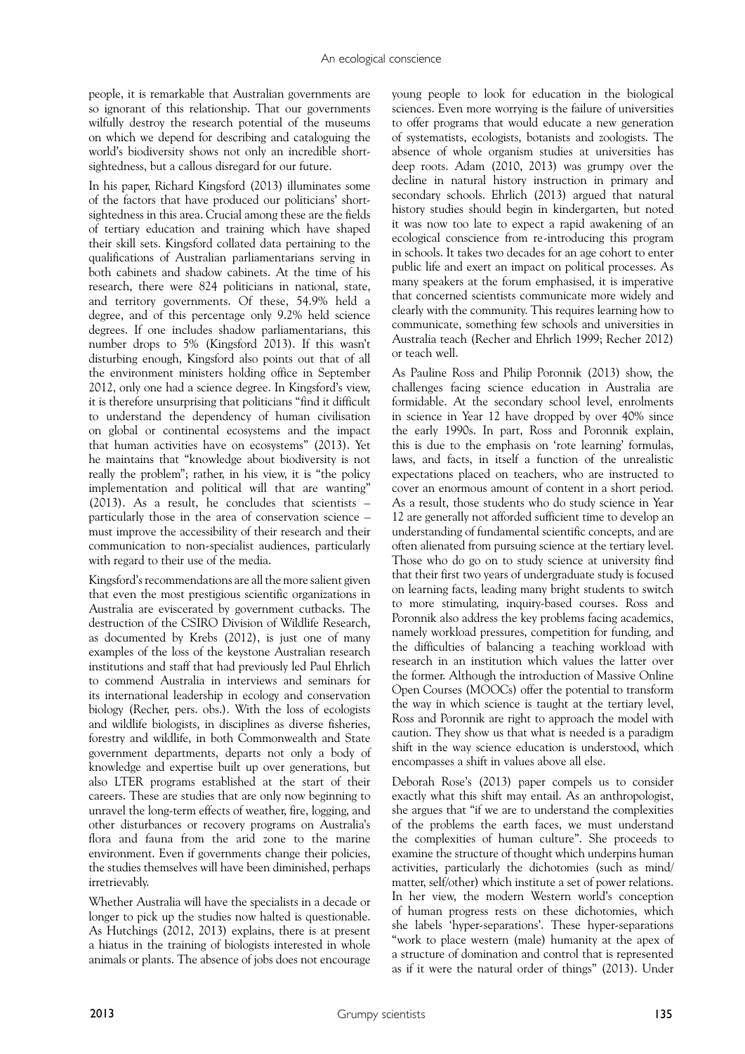people, it is remarkable that Australian governments are so ignorant of this relationship. That our governments wilfully destroy the research potential of the museums on which we depend for describing and cataloguing the world's biodiversity shows not only an incredible shortsightedness, but a callous disregard for our future.

In his paper, Richard Kingsford (2013) illuminates some of the factors that have produced our politicians' shortsightedness in this area. Crucial among these are the fields of tertiary education and training which have shaped their skill sets. Kingsford collated data pertaining to the qualifications of Australian parliamentarians serving in both cabinets and shadow cabinets. At the time of his research, there were 824 politicians in national, state, and territory governments. Of these, 54.9% held a degree, and of this percentage only 9.2% held science degrees. If one includes shadow parliamentarians, this number drops to 5% (Kingsford 2013). If this wasn't disturbing enough, Kingsford also points out that of all the environment ministers holding office in September 2012, only one had a science degree. In Kingsford's view, it is therefore unsurprising that politicians "find it difficult to understand the dependency of human civilisation on global or continental ecosystems and the impact that human activities have on ecosystems" (2013). Yet he maintains that "knowledge about biodiversity is not really the problem"; rather, in his view, it is "the policy implementation and political will that are wanting" (2013). As a result, he concludes that scientists – particularly those in the area of conservation science – must improve the accessibility of their research and their communication to non-specialist audiences, particularly with regard to their use of the media.

Kingsford's recommendations are all the more salient given that even the most prestigious scientific organizations in Australia are eviscerated by government cutbacks. The destruction of the CSIRO Division of Wildlife Research, as documented by Krebs (2012), is just one of many examples of the loss of the keystone Australian research institutions and staff that had previously led Paul Ehrlich to commend Australia in interviews and seminars for its international leadership in ecology and conservation biology (Recher, pers. obs.). With the loss of ecologists and wildlife biologists, in disciplines as diverse fisheries, forestry and wildlife, in both Commonwealth and State government departments, departs not only a body of knowledge and expertise built up over generations, but also LTER programs established at the start of their careers. These are studies that are only now beginning to unravel the long-term effects of weather, fire, logging, and other disturbances or recovery programs on Australia's flora and fauna from the arid zone to the marine environment. Even if governments change their policies, the studies themselves will have been diminished, perhaps irretrievably.

Whether Australia will have the specialists in a decade or longer to pick up the studies now halted is questionable. As Hutchings (2012, 2013) explains, there is at present a hiatus in the training of biologists interested in whole animals or plants. The absence of jobs does not encourage

young people to look for education in the biological sciences. Even more worrying is the failure of universities to offer programs that would educate a new generation of systematists, ecologists, botanists and zoologists. The absence of whole organism studies at universities has deep roots. Adam (2010, 2013) was grumpy over the decline in natural history instruction in primary and secondary schools. Ehrlich (2013) argued that natural history studies should begin in kindergarten, but noted it was now too late to expect a rapid awakening of an ecological conscience from re-introducing this program in schools. It takes two decades for an age cohort to enter public life and exert an impact on political processes. As many speakers at the forum emphasised, it is imperative that concerned scientists communicate more widely and clearly with the community. This requires learning how to communicate, something few schools and universities in Australia teach (Recher and Ehrlich 1999; Recher 2012) or teach well.

As Pauline Ross and Philip Poronnik (2013) show, the challenges facing science education in Australia are formidable. At the secondary school level, enrolments in science in Year 12 have dropped by over 40% since the early 1990s. In part, Ross and Poronnik explain, this is due to the emphasis on 'rote learning' formulas, laws, and facts, in itself a function of the unrealistic expectations placed on teachers, who are instructed to cover an enormous amount of content in a short period. As a result, those students who do study science in Year 12 are generally not afforded sufficient time to develop an understanding of fundamental scientific concepts, and are often alienated from pursuing science at the tertiary level. Those who do go on to study science at university find that their first two years of undergraduate study is focused on learning facts, leading many bright students to switch to more stimulating, inquiry-based courses. Ross and Poronnik also address the key problems facing academics, namely workload pressures, competition for funding, and the difficulties of balancing a teaching workload with research in an institution which values the latter over the former. Although the introduction of Massive Online Open Courses (MOOCs) offer the potential to transform the way in which science is taught at the tertiary level, Ross and Poronnik are right to approach the model with caution. They show us that what is needed is a paradigm shift in the way science education is understood, which encompasses a shift in values above all else.

Deborah Rose's (2013) paper compels us to consider exactly what this shift may entail. As an anthropologist, she argues that "if we are to understand the complexities of the problems the earth faces, we must understand the complexities of human culture". She proceeds to examine the structure of thought which underpins human activities, particularly the dichotomies (such as mind/ matter, self/other) which institute a set of power relations. In her view, the modern Western world's conception of human progress rests on these dichotomies, which she labels 'hyper-separations'. These hyper-separations "work to place western (male) humanity at the apex of a structure of domination and control that is represented as if it were the natural order of things" (2013). Under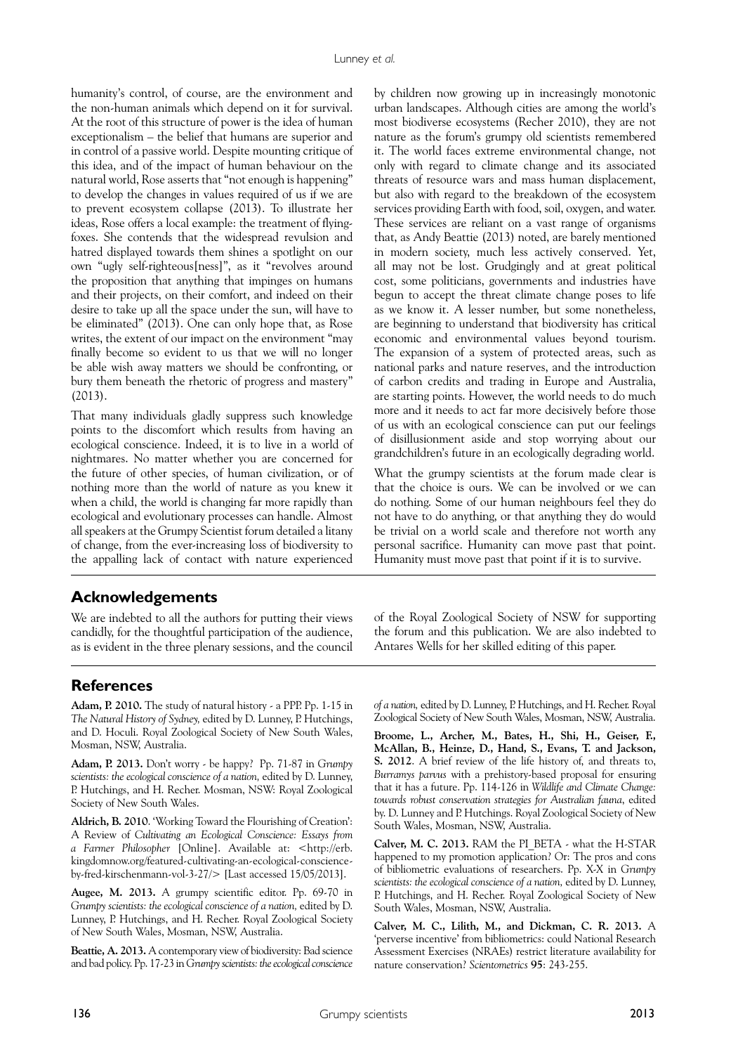humanity's control, of course, are the environment and the non-human animals which depend on it for survival. At the root of this structure of power is the idea of human exceptionalism – the belief that humans are superior and in control of a passive world. Despite mounting critique of this idea, and of the impact of human behaviour on the natural world, Rose asserts that "not enough is happening" to develop the changes in values required of us if we are to prevent ecosystem collapse (2013). To illustrate her ideas, Rose offers a local example: the treatment of flyingfoxes. She contends that the widespread revulsion and hatred displayed towards them shines a spotlight on our own "ugly self-righteous[ness]", as it "revolves around the proposition that anything that impinges on humans and their projects, on their comfort, and indeed on their desire to take up all the space under the sun, will have to be eliminated" (2013). One can only hope that, as Rose writes, the extent of our impact on the environment "may finally become so evident to us that we will no longer be able wish away matters we should be confronting, or bury them beneath the rhetoric of progress and mastery" (2013).

That many individuals gladly suppress such knowledge points to the discomfort which results from having an ecological conscience. Indeed, it is to live in a world of nightmares. No matter whether you are concerned for the future of other species, of human civilization, or of nothing more than the world of nature as you knew it when a child, the world is changing far more rapidly than ecological and evolutionary processes can handle. Almost all speakers at the Grumpy Scientist forum detailed a litany of change, from the ever-increasing loss of biodiversity to the appalling lack of contact with nature experienced

by children now growing up in increasingly monotonic urban landscapes. Although cities are among the world's most biodiverse ecosystems (Recher 2010), they are not nature as the forum's grumpy old scientists remembered it. The world faces extreme environmental change, not only with regard to climate change and its associated threats of resource wars and mass human displacement, but also with regard to the breakdown of the ecosystem services providing Earth with food, soil, oxygen, and water. These services are reliant on a vast range of organisms that, as Andy Beattie (2013) noted, are barely mentioned in modern society, much less actively conserved. Yet, all may not be lost. Grudgingly and at great political cost, some politicians, governments and industries have begun to accept the threat climate change poses to life as we know it. A lesser number, but some nonetheless, are beginning to understand that biodiversity has critical economic and environmental values beyond tourism. The expansion of a system of protected areas, such as national parks and nature reserves, and the introduction of carbon credits and trading in Europe and Australia, are starting points. However, the world needs to do much more and it needs to act far more decisively before those of us with an ecological conscience can put our feelings of disillusionment aside and stop worrying about our grandchildren's future in an ecologically degrading world.

What the grumpy scientists at the forum made clear is that the choice is ours. We can be involved or we can do nothing. Some of our human neighbours feel they do not have to do anything, or that anything they do would be trivial on a world scale and therefore not worth any personal sacrifice. Humanity can move past that point. Humanity must move past that point if it is to survive.

# **Acknowledgements**

We are indebted to all the authors for putting their views candidly, for the thoughtful participation of the audience, as is evident in the three plenary sessions, and the council of the Royal Zoological Society of NSW for supporting the forum and this publication. We are also indebted to Antares Wells for her skilled editing of this paper.

# **References**

**Adam, P. 2010.** The study of natural history - a PPP. Pp. 1-15 in *The Natural History of Sydney,* edited by D. Lunney, P. Hutchings, and D. Hoculi. Royal Zoological Society of New South Wales, Mosman, NSW, Australia.

**Adam, P. 2013.** Don't worry - be happy? Pp. 71-87 in *Grumpy scientists: the ecological conscience of a nation,* edited by D. Lunney, P. Hutchings, and H. Recher. Mosman, NSW: Royal Zoological Society of New South Wales.

**Aldrich, B. 2010**. 'Working Toward the Flourishing of Creation': A Review of *Cultivating an Ecological Conscience: Essays from a Farmer Philosopher* [Online]. Available at: <http://erb. kingdomnow.org/featured-cultivating-an-ecological-conscienceby-fred-kirschenmann-vol-3-27/> [Last accessed 15/05/2013].

**Augee, M. 2013.** A grumpy scientific editor. Pp. 69-70 in Grumpy scientists: the ecological conscience of a nation, edited by D. Lunney, P. Hutchings, and H. Recher. Royal Zoological Society of New South Wales, Mosman, NSW, Australia.

**Beattie, A. 2013.** A contemporary view of biodiversity: Bad science and bad policy. Pp. 17-23 in *Grumpy scientists: the ecological conscience*  *of a nation,* edited by D. Lunney, P. Hutchings, and H. Recher. Royal Zoological Society of New South Wales, Mosman, NSW, Australia.

**Broome, L., Archer, M., Bates, H., Shi, H., Geiser, F., McAllan, B., Heinze, D., Hand, S., Evans, T. and Jackson, S. 2012**. A brief review of the life history of, and threats to, *Burramys parvus* with a prehistory-based proposal for ensuring that it has a future. Pp. 114-126 in *Wildlife and Climate Change: towards robust conservation strategies for Australian fauna*, edited by. D. Lunney and P. Hutchings. Royal Zoological Society of New South Wales, Mosman, NSW, Australia.

**Calver, M. C. 2013.** RAM the PI\_BETA - what the H-STAR happened to my promotion application? Or: The pros and cons of bibliometric evaluations of researchers. Pp. X-X in *Grumpy scientists: the ecological conscience of a nation,* edited by D. Lunney, P. Hutchings, and H. Recher. Royal Zoological Society of New South Wales, Mosman, NSW, Australia.

**Calver, M. C., Lilith, M., and Dickman, C. R. 2013.** A 'perverse incentive' from bibliometrics: could National Research Assessment Exercises (NRAEs) restrict literature availability for nature conservation? *Scientometrics* **95**: 243-255.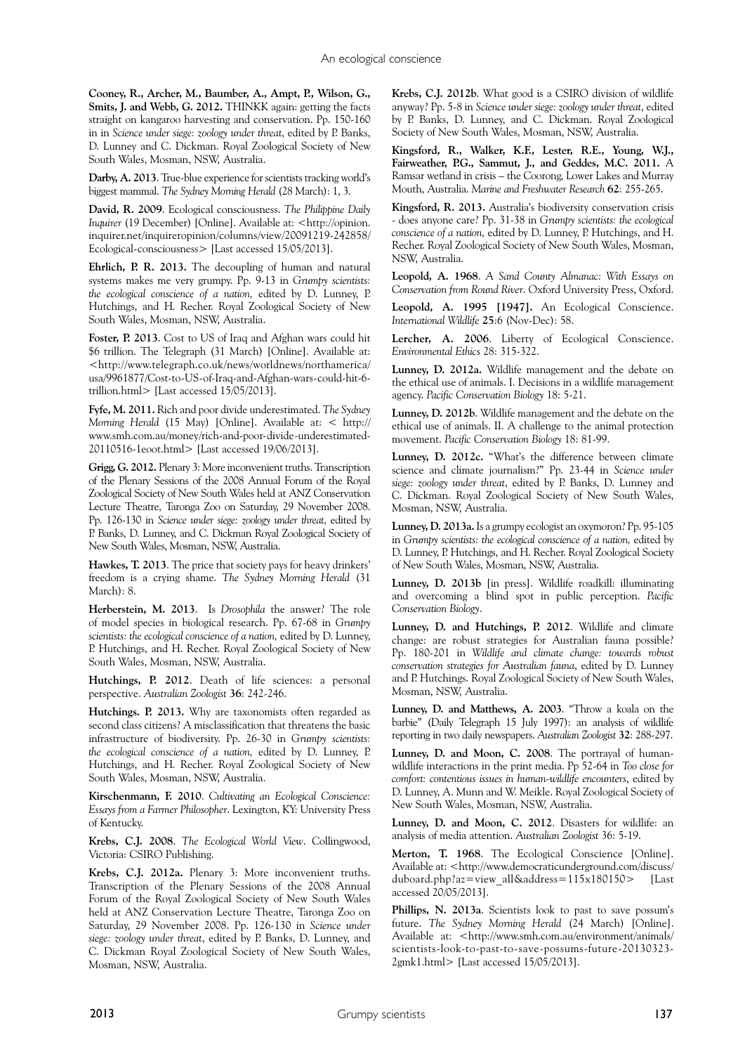**Cooney, R., Archer, M., Baumber, A., Ampt, P., Wilson, G., Smits, J. and Webb, G. 2012.** THINKK again: getting the facts straight on kangaroo harvesting and conservation. Pp. 150-160 in in *Science under siege: zoology under threat*, edited by P. Banks, D. Lunney and C. Dickman. Royal Zoological Society of New South Wales, Mosman, NSW, Australia.

**Darby, A. 2013**. True-blue experience for scientists tracking world's biggest mammal. *The Sydney Morning Herald* (28 March): 1, 3.

**David, R. 2009**. Ecological consciousness. *The Philippine Daily Inquirer* (19 December) [Online]. Available at: <http://opinion. inquirer.net/inquireropinion/columns/view/20091219-242858/ Ecological-consciousness> [Last accessed 15/05/2013].

**Ehrlich, P. R. 2013.** The decoupling of human and natural systems makes me very grumpy. Pp. 9-13 in *Grumpy scientists: the ecological conscience of a nation,* edited by D. Lunney, P. Hutchings, and H. Recher. Royal Zoological Society of New South Wales, Mosman, NSW, Australia.

**Foster, P. 2013**. Cost to US of Iraq and Afghan wars could hit \$6 trillion. The Telegraph (31 March) [Online]. Available at: <http://www.telegraph.co.uk/news/worldnews/northamerica/ usa/9961877/Cost-to-US-of-Iraq-and-Afghan-wars-could-hit-6 trillion.html> [Last accessed 15/05/2013].

**Fyfe, M. 2011.** Rich and poor divide underestimated. *The Sydney Morning Herald* (15 May) [Online]. Available at: < http:// www.smh.com.au/money/rich-and-poor-divide-underestimated-20110516-1eoot.html> [Last accessed 19/06/2013].

**Grigg, G. 2012.** Plenary 3: More inconvenient truths. Transcription of the Plenary Sessions of the 2008 Annual Forum of the Royal Zoological Society of New South Wales held at ANZ Conservation Lecture Theatre, Taronga Zoo on Saturday, 29 November 2008. Pp. 126-130 in *Science under siege: zoology under threat*, edited by P. Banks, D. Lunney, and C. Dickman Royal Zoological Society of New South Wales, Mosman, NSW, Australia.

**Hawkes, T. 2013**. The price that society pays for heavy drinkers' freedom is a crying shame. *The Sydney Morning Herald* (31 March): 8.

**Herberstein, M. 2013**. Is *Drosophila* the answer? The role of model species in biological research. Pp. 67-68 in *Grumpy scientists: the ecological conscience of a nation,* edited by D. Lunney, P. Hutchings, and H. Recher. Royal Zoological Society of New South Wales, Mosman, NSW, Australia.

**Hutchings, P. 2012**. Death of life sciences: a personal perspective. *Australian Zoologist* **36**: 242-246.

**Hutchings. P. 2013.** Why are taxonomists often regarded as second class citizens? A misclassification that threatens the basic infrastructure of biodiversity. Pp. 26-30 in *Grumpy scientists: the ecological conscience of a nation,* edited by D. Lunney, P. Hutchings, and H. Recher. Royal Zoological Society of New South Wales, Mosman, NSW, Australia.

**Kirschenmann, F. 2010**. *Cultivating an Ecological Conscience: Essays from a Farmer Philosopher*. Lexington, KY: University Press of Kentucky.

**Krebs, C.J. 2008**. *The Ecological World View*. Collingwood, Victoria: CSIRO Publishing.

**Krebs, C.J. 2012a.** Plenary 3: More inconvenient truths. Transcription of the Plenary Sessions of the 2008 Annual Forum of the Royal Zoological Society of New South Wales held at ANZ Conservation Lecture Theatre, Taronga Zoo on Saturday, 29 November 2008. Pp. 126-130 in *Science under siege: zoology under threat*, edited by P. Banks, D. Lunney, and C. Dickman Royal Zoological Society of New South Wales, Mosman, NSW, Australia.

**Krebs, C.J. 2012b**. What good is a CSIRO division of wildlife anyway? Pp. 5-8 in *Science under siege: zoology under threat*, edited by P. Banks, D. Lunney, and C. Dickman. Royal Zoological Society of New South Wales, Mosman, NSW, Australia.

**Kingsford, R., Walker, K.F., Lester, R.E., Young, W.J., Fairweather, P.G., Sammut, J., and Geddes, M.C. 2011.** A Ramsar wetland in crisis – the Coorong, Lower Lakes and Murray Mouth, Australia. *Marine and Freshwater Research* **62**: 255-265.

**Kingsford, R. 2013.** Australia's biodiversity conservation crisis - does anyone care? Pp. 31-38 in *Grumpy scientists: the ecological conscience of a nation,* edited by D. Lunney, P. Hutchings, and H. Recher. Royal Zoological Society of New South Wales, Mosman, NSW, Australia.

**Leopold, A. 1968**. *A Sand County Almanac: With Essays on Conservation from Round River*. Oxford University Press, Oxford.

**Leopold, A. 1995 [1947].** An Ecological Conscience. *International Wildlife* **25**:6 (Nov-Dec): 58.

**Lercher, A. 2006**. Liberty of Ecological Conscience. *Environmental Ethics* 28: 315-322.

**Lunney, D. 2012a.** Wildlife management and the debate on the ethical use of animals. I. Decisions in a wildlife management agency. *Pacific Conservation Biology* 18: 5-21.

**Lunney, D. 2012b**. Wildlife management and the debate on the ethical use of animals. II. A challenge to the animal protection movement. *Pacific Conservation Biology* 18: 81-99.

**Lunney, D. 2012c.** "What's the difference between climate science and climate journalism?" Pp. 23-44 in Science under *siege: zoology under threat*, edited by P. Banks, D. Lunney and C. Dickman. Royal Zoological Society of New South Wales, Mosman, NSW, Australia.

**Lunney, D. 2013a.** Is a grumpy ecologist an oxymoron? Pp. 95-105 in *Grumpy scientists: the ecological conscience of a nation,* edited by D. Lunney, P. Hutchings, and H. Recher. Royal Zoological Society of New South Wales, Mosman, NSW, Australia.

**Lunney, D. 2013b** [in press]. Wildlife roadkill: illuminating and overcoming a blind spot in public perception. *Pacific Conservation Biology*.

**Lunney, D. and Hutchings, P. 2012**. Wildlife and climate change: are robust strategies for Australian fauna possible? Pp. 180-201 in *Wildlife and climate change: towards robust conservation strategies for Australian fauna*, edited by D. Lunney and P. Hutchings. Royal Zoological Society of New South Wales, Mosman, NSW, Australia.

**Lunney, D. and Matthews, A. 2003**. "Throw a koala on the barbie" (Daily Telegraph 15 July 1997): an analysis of wildlife reporting in two daily newspapers. *Australian Zoologist* **32**: 288-297.

**Lunney, D. and Moon, C. 2008**. The portrayal of humanwildlife interactions in the print media. Pp 52-64 in *Too close for comfort: contentious issues in human-wildlife encounters*, edited by D. Lunney, A. Munn and W. Meikle. Royal Zoological Society of New South Wales, Mosman, NSW, Australia.

**Lunney, D. and Moon, C. 2012**. Disasters for wildlife: an analysis of media attention. *Australian Zoologist* 36: 5-19.

**Merton, T. 1968**. The Ecological Conscience [Online]. Available at: <http://www.democraticunderground.com/discuss/ duboard.php?az=view\_all&address=115x180150> [Last accessed 20/05/2013].

**Phillips, N. 2013a**. Scientists look to past to save possum's future. *The Sydney Morning Herald* (24 March) [Online]. Available at: <http://www.smh.com.au/environment/animals/ scientists-look-to-past-to-save-possums-future-20130323- 2gmk1.html> [Last accessed 15/05/2013].